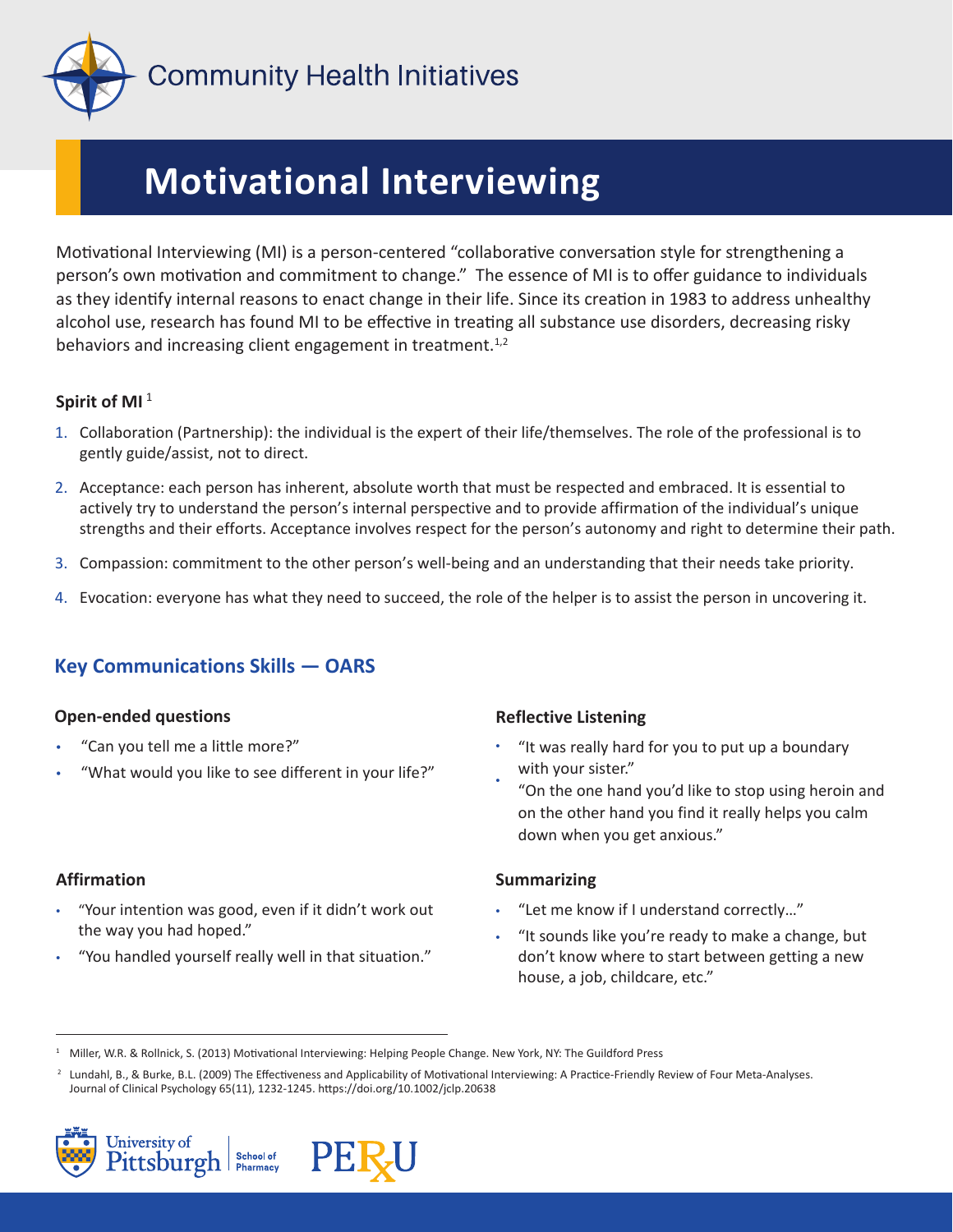

# **Motivational Interviewing**

Motivational Interviewing (MI) is a person-centered "collaborative conversation style for strengthening a person's own motivation and commitment to change." The essence of MI is to offer guidance to individuals as they identify internal reasons to enact change in their life. Since its creation in 1983 to address unhealthy alcohol use, research has found MI to be effective in treating all substance use disorders, decreasing risky behaviors and increasing client engagement in treatment. $1,2$ 

#### **Spirit of MI**  1

- 1. Collaboration (Partnership): the individual is the expert of their life/themselves. The role of the professional is to gently guide/assist, not to direct.
- 2. Acceptance: each person has inherent, absolute worth that must be respected and embraced. It is essential to actively try to understand the person's internal perspective and to provide affirmation of the individual's unique strengths and their efforts. Acceptance involves respect for the person's autonomy and right to determine their path.
- 3. Compassion: commitment to the other person's well-being and an understanding that their needs take priority.
- 4. Evocation: everyone has what they need to succeed, the role of the helper is to assist the person in uncovering it.

### **Key Communications Skills — OARS**

#### **Open-ended questions**

- "Can you tell me a little more?"
- "What would you like to see different in your life?"

#### **Affirmation**

- "Your intention was good, even if it didn't work out the way you had hoped."
- "You handled yourself really well in that situation."

#### **Reflective Listening**

- • "It was really hard for you to put up a boundary with your sister."
- "On the one hand you'd like to stop using heroin and on the other hand you find it really helps you calm down when you get anxious."

#### **Summarizing**

- "Let me know if I understand correctly…"
- "It sounds like you're ready to make a change, but don't know where to start between getting a new house, a job, childcare, etc."

<sup>&</sup>lt;sup>2</sup> Lundahl, B., & Burke, B.L. (2009) The Effectiveness and Applicability of Motivational Interviewing: A Practice-Friendly Review of Four Meta-Analyses. Journal of Clinical Psychology 65(11), 1232-1245. https://doi.org/10.1002/jclp.20638





<sup>1</sup> Miller, W.R. & Rollnick, S. (2013) Motivational Interviewing: Helping People Change. New York, NY: The Guildford Press